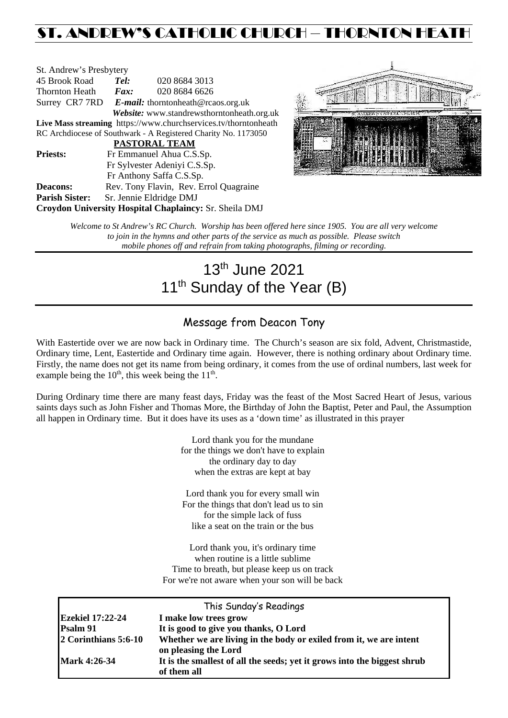# ST. ANDREW'S CATHOLIC CHURCH – THORNTON HEATH

| St. Andrew's Presbytery                                         |                                                   |                                        |  |  |  |
|-----------------------------------------------------------------|---------------------------------------------------|----------------------------------------|--|--|--|
| 45 Brook Road                                                   | Tel:                                              | 020 8684 3013                          |  |  |  |
| Thornton Heath                                                  | $\boldsymbol{F}$ <i>ax</i> :                      | 020 8684 6626                          |  |  |  |
|                                                                 | Surrey CR7 7RD E-mail: thorntonheath@rcaos.org.uk |                                        |  |  |  |
| Website: www.standrewsthorntonheath.org.uk                      |                                                   |                                        |  |  |  |
| Live Mass streaming https://www.churchservices.tv/thorntonheath |                                                   |                                        |  |  |  |
| RC Archdiocese of Southwark - A Registered Charity No. 1173050  |                                                   |                                        |  |  |  |
| <b>PASTORAL TEAM</b>                                            |                                                   |                                        |  |  |  |
| <b>Priests:</b>                                                 | Fr Emmanuel Ahua C.S.Sp.                          |                                        |  |  |  |
| Fr Sylvester Adeniyi C.S.Sp.                                    |                                                   |                                        |  |  |  |
|                                                                 | Fr Anthony Saffa C.S.Sp.                          |                                        |  |  |  |
| Deacons:                                                        |                                                   | Rev. Tony Flavin, Rev. Errol Quagraine |  |  |  |
| <b>Parish Sister:</b>                                           |                                                   | Sr. Jennie Eldridge DMJ                |  |  |  |
| <b>Croydon University Hospital Chaplaincy: Sr. Sheila DMJ</b>   |                                                   |                                        |  |  |  |



*Welcome to St Andrew's RC Church. Worship has been offered here since 1905. You are all very welcome to join in the hymns and other parts of the service as much as possible. Please switch mobile phones off and refrain from taking photographs, filming or recording.*

# 13th June 2021 11<sup>th</sup> Sunday of the Year (B)

# Message from Deacon Tony

With Eastertide over we are now back in Ordinary time. The Church's season are six fold, Advent, Christmastide, Ordinary time, Lent, Eastertide and Ordinary time again. However, there is nothing ordinary about Ordinary time. Firstly, the name does not get its name from being ordinary, it comes from the use of ordinal numbers, last week for example being the  $10<sup>th</sup>$ , this week being the  $11<sup>th</sup>$ .

During Ordinary time there are many feast days, Friday was the feast of the Most Sacred Heart of Jesus, various saints days such as John Fisher and Thomas More, the Birthday of John the Baptist, Peter and Paul, the Assumption all happen in Ordinary time. But it does have its uses as a 'down time' as illustrated in this prayer

> Lord thank you for the mundane for the things we don't have to explain the ordinary day to day when the extras are kept at bay

> Lord thank you for every small win For the things that don't lead us to sin for the simple lack of fuss like a seat on the train or the bus

Lord thank you, it's ordinary time when routine is a little sublime Time to breath, but please keep us on track For we're not aware when your son will be back

| This Sunday's Readings  |                                                                                            |  |  |  |  |
|-------------------------|--------------------------------------------------------------------------------------------|--|--|--|--|
| <b>Ezekiel 17:22-24</b> | I make low trees grow                                                                      |  |  |  |  |
| Psalm 91                | It is good to give you thanks, O Lord                                                      |  |  |  |  |
| 2 Corinthians 5:6-10    | Whether we are living in the body or exiled from it, we are intent<br>on pleasing the Lord |  |  |  |  |
| <b>Mark 4:26-34</b>     | It is the smallest of all the seeds; yet it grows into the biggest shrub<br>of them all    |  |  |  |  |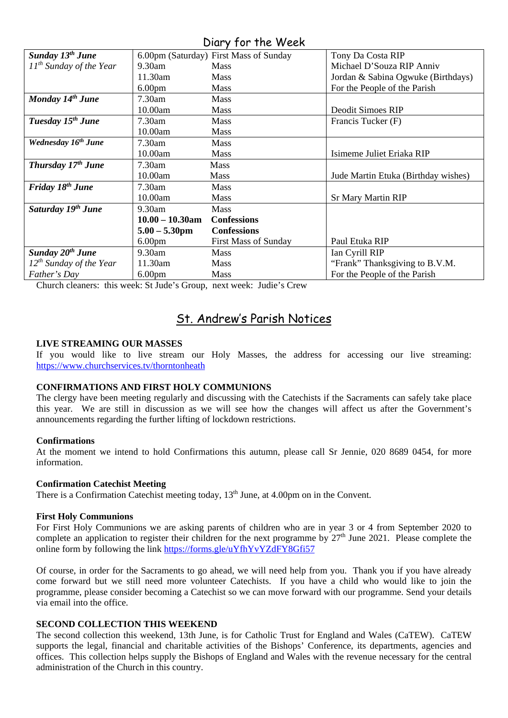# Diary for the Week

| Sunday 13 <sup>th</sup> June    |                    | 6.00pm (Saturday) First Mass of Sunday | Tony Da Costa RIP                   |
|---------------------------------|--------------------|----------------------------------------|-------------------------------------|
| $11^{th}$ Sunday of the Year    | 9.30am             | <b>Mass</b>                            | Michael D'Souza RIP Anniv           |
|                                 | 11.30am            | <b>Mass</b>                            | Jordan & Sabina Ogwuke (Birthdays)  |
|                                 | 6.00 <sub>pm</sub> | <b>Mass</b>                            | For the People of the Parish        |
| Monday 14 <sup>th</sup> June    | 7.30am             | <b>Mass</b>                            |                                     |
|                                 | 10.00am            | <b>Mass</b>                            | Deodit Simoes RIP                   |
| Tuesday 15 <sup>th</sup> June   | 7.30am             | <b>Mass</b>                            | Francis Tucker (F)                  |
|                                 | 10.00am            | <b>Mass</b>                            |                                     |
| Wednesday 16 <sup>th</sup> June | 7.30am             | <b>Mass</b>                            |                                     |
|                                 | 10.00am            | <b>Mass</b>                            | Isimeme Juliet Eriaka RIP           |
| Thursday 17th June              | 7.30am             | <b>Mass</b>                            |                                     |
|                                 | 10.00am            | <b>Mass</b>                            | Jude Martin Etuka (Birthday wishes) |
| Friday 18 <sup>th</sup> June    | 7.30am             | <b>Mass</b>                            |                                     |
|                                 | 10.00am            | <b>Mass</b>                            | <b>Sr Mary Martin RIP</b>           |
| Saturday 19 <sup>th</sup> June  | 9.30am             | <b>Mass</b>                            |                                     |
|                                 | $10.00 - 10.30$ am | <b>Confessions</b>                     |                                     |
|                                 | $5.00 - 5.30$ pm   | <b>Confessions</b>                     |                                     |
|                                 | 6.00 <sub>pm</sub> | <b>First Mass of Sunday</b>            | Paul Etuka RIP                      |
| Sunday 20 <sup>th</sup> June    | 9.30am             | <b>Mass</b>                            | Ian Cyrill RIP                      |
| $12^{th}$ Sunday of the Year    | 11.30am            | <b>Mass</b>                            | "Frank" Thanksgiving to B.V.M.      |
| Father's Day                    | 6.00 <sub>pm</sub> | <b>Mass</b>                            | For the People of the Parish        |

Church cleaners: this week: St Jude's Group, next week: Judie's Crew

# St. Andrew's Parish Notices

## **LIVE STREAMING OUR MASSES**

If you would like to live stream our Holy Masses, the address for accessing our live streaming: <https://www.churchservices.tv/thorntonheath>

## **CONFIRMATIONS AND FIRST HOLY COMMUNIONS**

The clergy have been meeting regularly and discussing with the Catechists if the Sacraments can safely take place this year. We are still in discussion as we will see how the changes will affect us after the Government's announcements regarding the further lifting of lockdown restrictions.

## **Confirmations**

At the moment we intend to hold Confirmations this autumn, please call Sr Jennie, 020 8689 0454, for more information.

## **Confirmation Catechist Meeting**

There is a Confirmation Catechist meeting today,  $13<sup>th</sup>$  June, at 4.00pm on in the Convent.

## **First Holy Communions**

For First Holy Communions we are asking parents of children who are in year 3 or 4 from September 2020 to complete an application to register their children for the next programme by  $27<sup>th</sup>$  June 2021. Please complete the online form by following the link<https://forms.gle/uYfhYvYZdFY8Gfi57>

Of course, in order for the Sacraments to go ahead, we will need help from you. Thank you if you have already come forward but we still need more volunteer Catechists. If you have a child who would like to join the programme, please consider becoming a Catechist so we can move forward with our programme. Send your details via email into the office.

## **SECOND COLLECTION THIS WEEKEND**

The second collection this weekend, 13th June, is for Catholic Trust for England and Wales (CaTEW). CaTEW supports the legal, financial and charitable activities of the Bishops' Conference, its departments, agencies and offices. This collection helps supply the Bishops of England and Wales with the revenue necessary for the central administration of the Church in this country.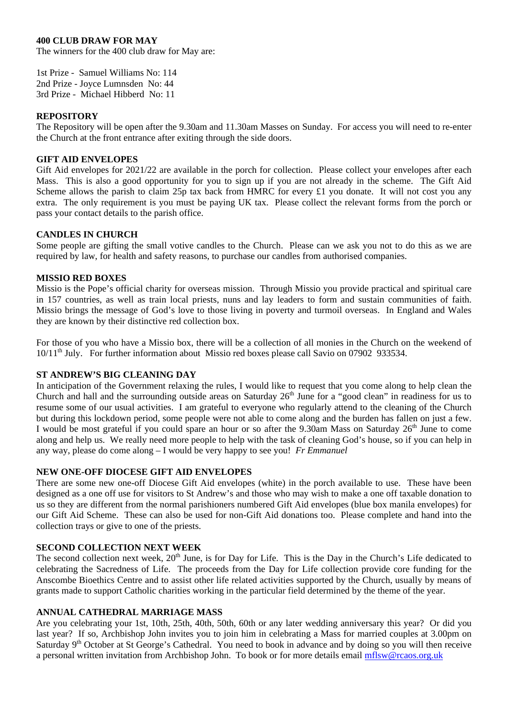# **400 CLUB DRAW FOR MAY**

The winners for the 400 club draw for May are:

1st Prize - Samuel Williams No: 114 2nd Prize - Joyce Lumnsden No: 44 3rd Prize - Michael Hibberd No: 11

## **REPOSITORY**

The Repository will be open after the 9.30am and 11.30am Masses on Sunday. For access you will need to re-enter the Church at the front entrance after exiting through the side doors.

## **GIFT AID ENVELOPES**

Gift Aid envelopes for  $2021/22$  are available in the porch for collection. Please collect your envelopes after each Mass. This is also a good opportunity for you to sign up if you are not already in the scheme. The Gift Aid Scheme allows the parish to claim 25p tax back from HMRC for every £1 you donate. It will not cost you any extra. The only requirement is you must be paying UK tax. Please collect the relevant forms from the porch or pass your contact details to the parish office.

# **CANDLES IN CHURCH**

Some people are gifting the small votive candles to the Church. Please can we ask you not to do this as we are required by law, for health and safety reasons, to purchase our candles from authorised companies.

# **MISSIO RED BOXES**

Missio is the Pope's official charity for overseas mission. Through Missio you provide practical and spiritual care in 157 countries, as well as train local priests, nuns and lay leaders to form and sustain communities of faith. Missio brings the message of God's love to those living in poverty and turmoil overseas. In England and Wales they are known by their distinctive red collection box.

For those of you who have a Missio box, there will be a collection of all monies in the Church on the weekend of 10/11th July. For further information about Missio red boxes please call Savio on 07902 933534.

# **ST ANDREW'S BIG CLEANING DAY**

In anticipation of the Government relaxing the rules, I would like to request that you come along to help clean the Church and hall and the surrounding outside areas on Saturday 26<sup>th</sup> June for a "good clean" in readiness for us to resume some of our usual activities. I am grateful to everyone who regularly attend to the cleaning of the Church but during this lockdown period, some people were not able to come along and the burden has fallen on just a few. I would be most grateful if you could spare an hour or so after the 9.30am Mass on Saturday 26<sup>th</sup> June to come along and help us. We really need more people to help with the task of cleaning God's house, so if you can help in any way, please do come along – I would be very happy to see you! *Fr Emmanuel*

## **NEW ONE-OFF DIOCESE GIFT AID ENVELOPES**

There are some new one-off Diocese Gift Aid envelopes (white) in the porch available to use. These have been designed as a one off use for visitors to St Andrew's and those who may wish to make a one off taxable donation to us so they are different from the normal parishioners numbered Gift Aid envelopes (blue box manila envelopes) for our Gift Aid Scheme. These can also be used for non-Gift Aid donations too. Please complete and hand into the collection trays or give to one of the priests.

# **SECOND COLLECTION NEXT WEEK**

The second collection next week, 20<sup>th</sup> June, is for Day for Life. This is the Day in the Church's Life dedicated to celebrating the Sacredness of Life. The proceeds from the Day for Life collection provide core funding for the Anscombe Bioethics Centre and to assist other life related activities supported by the Church, usually by means of grants made to support Catholic charities working in the particular field determined by the theme of the year.

# **ANNUAL CATHEDRAL MARRIAGE MASS**

Are you celebrating your 1st, 10th, 25th, 40th, 50th, 60th or any later wedding anniversary this year? Or did you last year? If so, Archbishop John invites you to join him in celebrating a Mass for married couples at 3.00pm on Saturday  $9<sup>th</sup>$  October at St George's Cathedral. You need to book in advance and by doing so you will then receive a personal written invitation from Archbishop John. To book or for more details email [mflsw@rcaos.org.uk](mailto:mflsw@rcaos.org.uk)